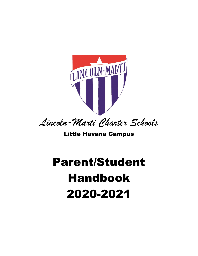

*Lincoln-Marti Charter Schools*

# Little Havana Campus

# Parent/Student Handbook 2020-2021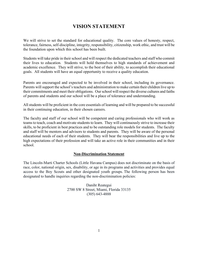# **VISION STATEMENT**

We will strive to set the standard for educational quality. The core values of honesty, respect, tolerance, fairness, self-discipline, integrity, responsibility, citizenship, work ethic, and trust will be the foundation upon which this school has been built.

Students will take pride in their school and will respect the dedicated teachers and staff who commit their lives to education. Students will hold themselves to high standards of achievement and academic excellence. They will strive, to the best of their ability, to accomplish their educational goals. All students will have an equal opportunity to receive a quality education.

Parents are encouraged and expected to be involved in their school, including its governance. Parents will support the school's teachers and administration to make certain their children live up to their commitments and meet their obligations. Our school will respect the diverse cultures and faiths of parents and students and our school will be a place of tolerance and understanding.

All students will be proficient in the core essentials of learning and will be prepared to be successful in their continuing education, in their chosen careers.

The faculty and staff of our school will be competent and caring professionals who will work as teams to teach, coach and motivate students to learn. They will continuously strive to increase their skills, to be proficient in best practices and to be outstanding role models for students. The faculty and staff will be mentors and advisors to students and parents. They will be aware of the personal educational needs of each of their students. They will bear the responsibilities and live up to the high expectations of their profession and will take an active role in their communities and in their school.

#### **Non-Discrimination Statement**

The Lincoln-Marti Charter Schools (Little Havana Campus) does not discriminate on the basis of race, color, national origin, sex, disability, or age in its programs and activities and provides equal access to the Boy Scouts and other designated youth groups. The following person has been designated to handle inquiries regarding the non-discrimination policies:

> Daniht Reategui 2700 SW 8 Street, Miami, Florida 33135 (305) 643-4888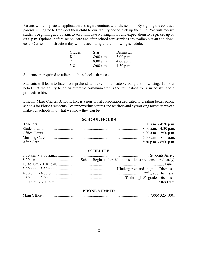Parents will complete an application and sign a contract with the school. By signing the contract, parents will agree to transport their child to our facility and to pick up the child. We will receive students beginning at 7:30 a.m. to accommodate working hours and expect them to be picked up by 6:00 p.m. Optional before school care and after school care services are available at an additional cost. Our school instruction day will be according to the following schedule:

| Grades        | <b>Start</b> | Dismissal   |
|---------------|--------------|-------------|
| $K-1$         | $8:00$ a.m.  | $3:00$ p.m. |
| $\mathcal{D}$ | $8:00$ a.m.  | $4:00$ p.m. |
| $3 - 8$       | $8:00$ a.m.  | $4:30$ p.m. |

Students are required to adhere to the school's dress code.

Students will learn to listen, comprehend, and to communicate verbally and in writing. It is our belief that the ability to be an effective communicator is the foundation for a successful and a productive life.

Lincoln-Marti Charter Schools, Inc. is a non-profit corporation dedicated to creating better public schools for Florida residents. By empowering parents and teachers and by working together, we can make our schools into what we know they can be.

# **SCHOOL HOURS**

#### **SCHEDULE**

## **PHONE NUMBER**

|--|--|--|--|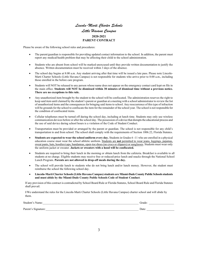# *Lincoln-Marti Charter Schools Little Havana Campus* **2020-2021 PARENT CONTRACT**

Please be aware of the following school rules and procedures:

- The parent/guardian is responsible for providing updated contact information to the school. In addition, the parent must report any medical/health problem that may be affecting their child to the school administration.
- Students who are absent from school will be marked unexcused until they provide written documentation to justify the absence. Written documentation must be received within 3 days of the absence.
- The school day begins at 8:00 a.m. Any student arriving after that time will be issued a late pass. Please note Lincoln-Marti Charter Schools (Little Havana Campus) is not responsible for students who arrive prior to 8:00 a.m., including those enrolled in the before care program.
- Students will NOT be released to any person whose name does not appear on the emergency contact card kept on file in the main office. **Students will NOT be dismissed within 30 minutes of dismissal time without a previous notice. There are no exceptions to this rule.**
- Any unauthorized item brought by the student to the school will be confiscated. The administration reserves the right to keep said item until claimed by the student's parent or guardian at a meeting with a school administrator to review the list of unauthorized items and the consequences for bringing said items to school. Any reoccurrence of this type of infraction will be grounds for the school to confiscate the item for the remainder of the school year. The school is not responsible for the condition of confiscated items.
- Cellular telephones must be turned off during the school day, including at lunch time. Students may only use wireless communication devices before or after the school day. The possession of a device that disrupts the educational process and the use of said device during school hours is a violation of the Code of Student Conduct.
- Transportation must be provided or arranged by the parent or guardian. The school is not responsible for any child's transportation to and from school. The school shall comply with the requirements of Section 1006.22, Florida Statutes.
- **Students are expected to wear the school uniform every day.** Students in Grades 6 -11 who are enrolled in a physical education course must wear the school athletic uniform. Students are **not** permitted to wear jeans, leggings, pajamas, sweat pants, hats, hoodies/caps, bandannas, open-toe shoes (no crocs or slippers) or sunglasses. Students must wear only the uniform jacket or sweater. **Jackets or sweaters with a hood will be confiscated.**
- Students are required to bring their lunch in the morning or obtain lunch from the cafeteria. Breakfast is available to all students at no charge. Eligible students may receive free or reduced-price lunch and snacks through the National School Lunch Program. **Parents are not allowed to drop-off meals during the day.**
- The school will provide lunch to students who do not bring lunch and/or lunch money. However, the student must reimburse the school the following school day.
- **Lincoln-Marti Charter Schools(Little Havana Campus)students are Miami-Dade County Public Schools students and must abide by the Miami-Dade County Public Schools Code of Student Conduct**.

If any provision of this contract is contradicted by School Board Rule or Florida Statutes, School Board Rule and Florida Statutes shall prevail.

I/We understand the rules for the Lincoln-Marti Charter Schools (Little Havana Campus) charter school and will abide by them.

| Student's Name:     | Grade |
|---------------------|-------|
| Parent's Signature: | Date: |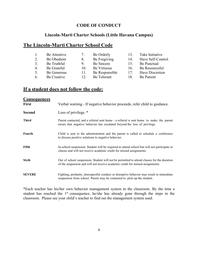# **CODE OF CONDUCT**

# **Lincoln-Marti Charter Schools (Little Havana Campus)**

# **The Lincoln-Marti Charter School Code**

|    | Be Attentive | 7.        | Be Orderly     | 13. | Take Initiative   |
|----|--------------|-----------|----------------|-----|-------------------|
| 2. | Be Obedient  | 8.        | Be Forgiving   | 14. | Have Self-Control |
| 3  | Be Truthful  | 9.        | Be Sincere     | 15. | Be Punctual       |
| 4. | Be Grateful  | $10^{-1}$ | Be Virtuous    | 16. | Be Resourceful    |
| 5. | Be Generous  | 11.       | Be Responsible | 17  | Have Discretion   |
| 6  | Be Creative  | 12        | Be Tolerant    | 18. | Be Patient        |

# **If a student does not follow the code:**

| <b>Consequences</b> |                                                                                                                                                                              |
|---------------------|------------------------------------------------------------------------------------------------------------------------------------------------------------------------------|
| <b>First</b>        | Verbal warning - If negative behavior proceeds, refer child to guidance.                                                                                                     |
| <b>Second</b>       | Loss of privilege. *                                                                                                                                                         |
| <b>Third</b>        | Parent contacted, and a referral sent home - a referral is sent home to make the parent<br>aware that negative behavior has escalated beyond the loss of privilege.          |
| Fourth              | Child is sent to the administration and the parent is called to schedule a conference<br>to discuss positive solutions to negative behavior.                                 |
| Fifth               | In-school suspension. Student will be required to attend school but will not participate in<br>classes and will not receive academic credit for missed assignments.          |
| <b>Sixth</b>        | Out of school suspension. Student will not be permitted to attend classes for the duration<br>of the suspension and will not receive academic credit for missed assignments. |
| <b>SEVERE</b>       | Fighting, profanity, disrespectful conduct or disruptive behavior may result in immediate<br>suspension from school. Parent may be contacted to pick-up the student.         |

\*Each teacher has his/her own behavior management system in the classroom. By the time a student has reached the 1<sup>st</sup> consequence, he/she has already gone through the steps in the classroom. Please see your child's teacher to find out the management system used.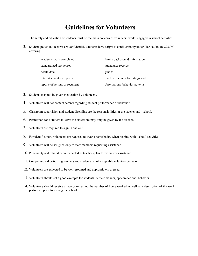# **Guidelines for Volunteers**

- 1. The safety and education of students must be the main concern of volunteers while engaged in school activities.
- 2. Student grades and records are confidential. Students have a right to confidentiality under Florida Statute 228.093 covering:

| academic work completed         | family background information    |
|---------------------------------|----------------------------------|
| standardized test scores        | attendance records               |
| health data                     | grades                           |
| interest inventory reports      | teacher or counselor ratings and |
| reports of serious or recurrent | observations behavior patterns   |

- 3. Students may not be given medication by volunteers.
- 4. Volunteers will not contact parents regarding student performance or behavior.
- 5. Classroom supervision and student discipline are the responsibilities of the teacher and school.
- 6. Permission for a student to leave the classroom may only be given by the teacher.
- 7. Volunteers are required to sign in and out.
- 8. For identification, volunteers are required to wear a name badge when helping with school activities.
- 9. Volunteers will be assigned only to staff members requesting assistance.
- 10. Punctuality and reliability are expected as teachers plan for volunteer assistance.
- 11. Comparing and criticizing teachers and students is not acceptable volunteer behavior.
- 12. Volunteers are expected to be well-groomed and appropriately dressed.
- 13. Volunteers should set a good example for students by their manner, appearance and behavior.
- 14. Volunteers should receive a receipt reflecting the number of hours worked as well as a description of the work performed prior to leaving the school.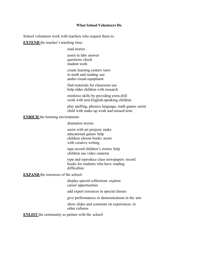#### **What School Volunteers Do**

School volunteers work with teachers who request them to:

**EXTEND** the teacher's teaching time-

read stories

assist in labs answer questions check student work

create learning centers tutor in math and reading use audio-visual equipment

find materials for classroom use help older children with research

reinforce skills by providing extra drill work with non-English-speaking children

play spelling, phonics language, math games assist child with make-up work and missed tests

**ENRICH** the learning environment-

dramatize stories

assist with art projects make educational games help children choose books assist with creative writing

tape record children's stories help children use video cameras

type and reproduce class newspapers record books for students who have reading difficulties

**EXPAND** the resources of the school-

display special collections explore career opportunities

add expert resources in special classes

give performances or demonstrations in the arts

show slides and comment on experiences in other cultures

**ENLIST** the community as partner with the school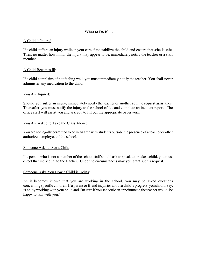# **What to Do If . . .**

# A Child is Injured:

If a child suffers an injury while in your care, first stabilize the child and ensure that s/he is safe. Then, no matter how minor the injury may appear to be, immediately notify the teacher or a staff member.

# A Child Becomes Ill:

If a child complains of not feeling well, you must immediately notify the teacher. You shall never administer any medication to the child.

# You Are Injured:

Should you suffer an injury, immediately notify the teacher or another adult to request assistance. Thereafter, you must notify the injury to the school office and complete an incident report. The office staff will assist you and ask you to fill out the appropriate paperwork.

# You Are Asked to Take the Class Alone:

You are not legally permitted to be in an area with students outside the presence of a teacher or other authorized employee of the school.

# Someone Asks to See a Child:

If a person who is not a member of the school staff should ask to speak to or take a child, you must direct that individual to the teacher. Under no circumstances may you grant such a request.

# Someone Asks You How a Child is Doing:

As it becomes known that you are working in the school, you may be asked questions concerning specific children. If a parent or friend inquiries about a child's progress, you should say, "I enjoy working with your child and I'm sure if you schedule an appointment, the teacher would be happy to talk with you."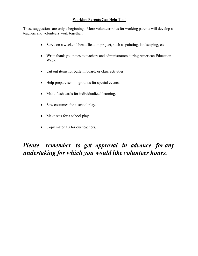# **Working Parents Can Help Too!**

These suggestions are only a beginning. More volunteer roles for working parents will develop as teachers and volunteers work together.

- Serve on a weekend beautification project, such as painting, landscaping, etc.
- Write thank you notes to teachers and administrators during American Education Week.
- Cut out items for bulletin board, or class activities.
- Help prepare school grounds for special events.
- Make flash cards for individualized learning.
- Sew costumes for a school play.
- Make sets for a school play.
- Copy materials for our teachers.

# *Please remember to get approval in advance for any undertaking for which you would like volunteer hours.*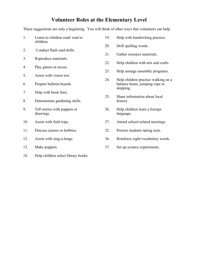# **Volunteer Roles at the Elementary Level**

These suggestions are only a beginning. You will think of other ways that volunteers can help.

- 1. Listen to children read/ read to children. 2. Conduct flash card drills. 3. Reproduce materials. 4. Play games at recess. 5. Assist with vision test. 6. Prepare bulletin boards. 7. Help with book fairs. 8. Demonstrate gardening skills. 9. Tell stories with puppets or drawings. 10. Assist with field trips. 11. Discuss careers or hobbies.
- 12. Assist with sing-a-longs.
- 13. Make puppets.
- 18. Help children select library books.
- 19. Help with handwriting practice.
- 20. Drill spelling words.
- 21. Gather resource materials.
- 22. Help children with arts and crafts.
- 23. Help arrange assembly programs.
- 24. Help children practice walking on a balance beam, jumping rope or skipping.
- 25. Share information about local history.
- 26. Help children learn a foreign language.
- 27. Attend school-related meetings.
- 32. Proctor students taking tests.
- 36. Reinforce sight/vocabulary words.
- 37. Set up science experiments.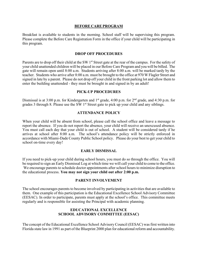#### **BEFORE CAREPROGRAM**

Breakfast is available to students in the morning. School staff will be supervising this program. Please complete the Before Care Registration Form in the office if your child will be participating in this program.

#### **DROP OFF PROCEDURES**

Parents are to drop off their child at the SW 1<sup>st</sup> Street gate at the rear of the campus. For the safety of your child unattended children will be placed in our Before Care Program and you will be billed. The gate will remain open until 8:00 a.m. Students arriving after 8:00 a.m. will be marked tardy by the teacher. Students who arrive after 8:00 a.m. must be brought to the office at 970 W Flagler Street and signed in late by a parent. Please do not drop off your child in the front parking lot and allow them to enter the building unattended - they must be brought in and signed in by an adult!

#### **PICK-UP PROCEDURES**

Dismissal is at 3:00 p.m. for Kindergarten and  $1<sup>st</sup>$  grade, 4:00 p.m. for  $2<sup>nd</sup>$  grade, and 4:30 p.m. for grades 3 through 8. Please use the SW  $1<sup>st</sup>$  Street gate to pick up your child and any siblings.

#### **ATTENDANCE POLICY**

When your child will be absent from school, please call the school office and leave a message to report the absence. If you do not report the absence, your child will receive an unexcused absence. You must call each day that your child is out of school. A student will be considered tardy if he arrives at school after 8:00 a.m. The school's attendance policy will be strictly enforced in accordance with Miami-Dade County Public School policy. Please do your best to get your child to school on-time every day!

#### **EARLY DISMISSAL**

If you need to pick-up your child during school hours, you must do so through the office. You will be required to sign an Early Dismissal Log at which time we will call your child to come to the office. We encourage parents to schedule doctor appointments after school hours to minimize disruption to the educational process. **You may not sign your child out after 2:00 p.m.**

#### **PARENT INVOLVEMENT**

The school encourages parents to become involved by participating in activities that are available to them. One example of this participation is the Educational Excellence School Advisory Committee (EESAC). In order to participate, parents must apply at the school's office. This committee meets regularly and is responsible for assisting the Principal with academic planning.

## **EDUCATIONAL EXCELLENCE SCHOOL ADVISORY COMMITTEE (EESAC)**

The concept of the Educational Excellence School Advisory Council (EESAC) was first written into Florida state law in 1991 as part of the Blueprint 2000 plan for educational reform and accountability.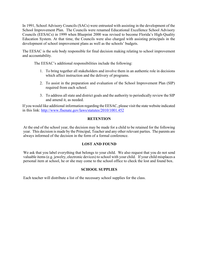In 1991, School Advisory Councils (SACs) were entrusted with assisting in the development of the School Improvement Plan. The Councils were renamed Educational Excellence School Advisory Councils (EESACs) in 1999 when Blueprint 2000 was revised to become Florida's High-Quality Education System. At that time, the Councils were also charged with assisting principals in the development of school improvement plans as well as the schools' budgets.

The EESAC is the sole body responsible for final decision making relating to school improvement and accountability.

The EESAC's additional responsibilities include the following:

- 1. To bring together all stakeholders and involve them in an authentic role in decisions which affect instruction and the delivery of programs.
- 2. To assist in the preparation and evaluation of the School Improvement Plan (SIP) required from each school.
- 3. To address all state and district goals and the authority to periodically review the SIP and amend it, as needed.

If you would like additional information regarding the EESAC, please visit the state website indicated in this link:<http://www.flsenate.gov/laws/statutes/2010/1001.452>

# **RETENTION**

At the end of the school year, the decision may be made for a child to be retained for the following year. This decision is made by the Principal, Teacher and any other relevant parties. The parents are always informed of the decision in the form of a formal conference.

# **LOST AND FOUND**

We ask that you label everything that belongs to your child. We also request that you do not send valuable items (e.g. jewelry, electronic devices) to school with your child. If your child misplaces a personal item at school, he or she may come to the school office to check the lost and found box.

# **SCHOOL SUPPLIES**

Each teacher will distribute a list of the necessary school supplies for the class.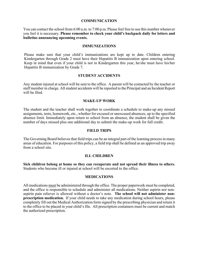#### **COMMUNICATION**

You can contact the school from 6:00 a.m. to 7:00 p.m. Please feel free to use this number whenever you feel it is necessary. **Please remember to check your child's backpack daily for letters and bulletins announcing upcoming events.**

#### **IMMUNIZATIONS**

Please make sure that your child's immunizations are kept up to date. Children entering Kindergarten through Grade 2 must have their Hepatitis B immunization upon entering school. Keep in mind that even if your child is not in Kindergarten this year, he/she must have his/her Hepatitis B immunization by Grade 7.

#### **STUDENT ACCIDENTS**

Any student injured at school will be sent to the office. A parent will be contacted by the teacher or staff member in charge. All student accidents will be reported to the Principal and an Incident Report will be filed.

#### **MAKE-UP WORK**

The student and the teacher shall work together to coordinate a schedule to make-up any missed assignments, tests, homework, etc., whether for excused or unexcused absences, up to the specified absence limit. Immediately upon return to school from an absence, the student shall be given the number of days missed plus one additional day to submit the make-up work for full credit.

#### **FIELD TRIPS**

The Governing Board believes that field trips can be an integral part of the learning process in many areas of education. For purposes of this policy, a field trip shall be defined as an approved trip away from a school site.

#### **ILL CHILDREN**

**Sick children belong at home so they can recuperate and not spread their illness to others.** Students who become ill or injured at school will be escorted to the office.

#### **MEDICATIONS**

All medications must be administered through the office. The proper paperwork must be completed, and the office is responsible to schedule and administer all medications. Neither aspirin nor nonaspirin pain reliever is allowed without a doctor's note. **The school will not administer nonprescription medication.** If your child needs to take any medication during school hours, please completely fill out the Medical Authorization form signed by the prescribing physician and return it to the office to be placed in your child's file. All prescription containers must be current and match the authorized prescription.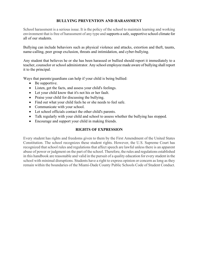# **BULLYING PREVENTION AND HARASSMENT**

School harassment is a serious issue. It is the policy of the school to maintain learning and working environment that is free of harassment of any type and supports a safe, supportive school climate for all of our students.

Bullying can include behaviors such as physical violence and attacks, extortion and theft, taunts, name-calling, peer group exclusion, threats and intimidation, and cyber-bullying.

Any student that believes he or she has been harassed or bullied should report it immediately to a teacher, counselor or school administrator. Any school employee made aware of bullying shall report it to the principal.

Ways that parents/guardians can help if your child is being bullied:

- Be supportive.
- Listen, get the facts, and assess your child's feelings.
- Let your child know that it's not his or her fault.
- Praise your child for discussing the bullying.
- Find out what your child feels he or she needs to feel safe.
- Communicate with your school.
- Let school officials contact the other child's parents.
- Talk regularly with your child and school to assess whether the bullying has stopped.
- Encourage and support your child in making friends.

# **RIGHTS OF EXPRESSION**

Every student has rights and freedoms given to them by the First Amendment of the United States Constitution. The school recognizes these student rights. However, the U.S. Supreme Court has recognized that school rules and regulations that affect speech are lawful unless there is an apparent abuse of power or judgment on the part of the school. Therefore, the rules and regulations established in this handbook are reasonable and valid in the pursuit of a quality education for every student in the school with minimal disruptions. Students have a right to express opinion or concern as long as they remain within the boundaries of the Miami-Dade County Public Schools Code of Student Conduct.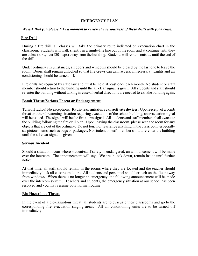#### **EMERGENCY PLAN**

#### *We ask that you please take a moment to review the seriousness of these drills with your child.*

### **Fire Drill**

During a fire drill, all classes will take the primary route indicated on evacuation chart in the classroom. Students will walk silently in a single-file line out of the room and at continue until they are at least sixty feet (30 steps) away from the building. Students will remain outside until the end of the drill.

Under ordinary circumstances, all doors and windows should be closed by the last one to leave the room. Doors shall remain unlocked so that fire crews can gain access, if necessary. Lights and air conditioning should be turned off.

Fire drills are required by state law and must be held at least once each month. No student or staff member should return to the building until the all clear signal is given. All students and staff should re-enter the building without talking in case of verbal directions are needed to exit the building again.

#### **Bomb Threat/Serious Threat or Endangerment**

Turn off radios! No exceptions. **Radio transmissions can activate devices.** Upon receipt of a bomb threat or other threatening situation requiring evacuation of the school building, an evacuation signal will be issued. The signal will be the fire alarm signal. All students and staff members shall evacuate the building following the fire drill plan. Upon leaving the classroom, please scan the room for any objects that are out of the ordinary. Do not touch or rearrange anything in the classroom, especially suspicious items such as bags or packages. No student or staff member should re-enter the building until the all clear signal is given.

#### **Serious Incident**

Should a situation occur where student/staff safety is endangered, an announcement will be made over the intercom. The announcement will say, "We are in lock down, remain inside until further notice."

At that time, all staff should remain in the rooms where they are located and the teacher should immediately lock all classroom doors. All students and personnel should crouch on the floor away from windows. When there is no longer an emergency, the following announcement will be made over the intercom system, "Teachers and students, the emergency situation at our school has been resolved and you may resume your normal routine."

#### **Bio-Hazardous Threat**

In the event of a bio-hazardous threat, all students are to evacuate their classrooms and go to the corresponding fire evacuation staging areas. All air conditioning units are to be turned off immediately.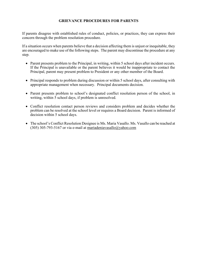# **GRIEVANCE PROCEDURES FOR PARENTS**

If parents disagree with established rules of conduct, policies, or practices, they can express their concern through the problem resolution procedure.

If a situation occurs when parents believe that a decision affecting them is unjust or inequitable, they are encouraged to make use of the following steps. The parent may discontinue the procedure at any step.

- Parent presents problem to the Principal, in writing, within 5 school days after incident occurs. If the Principal is unavailable or the parent believes it would be inappropriate to contact the Principal, parent may present problem to President or any other member of the Board.
- Principal responds to problem during discussion or within 5 school days, after consulting with appropriate management when necessary. Principal documents decision.
- Parent presents problem to school's designated conflict resolution person of the school, in writing, within 5 school days, if problem is unresolved.
- Conflict resolution contact person reviews and considers problem and decides whether the problem can be resolved at the school level or requires a Board decision. Parent is informed of decision within 5 school days.
- The school's Conflict Resolution Designee is Ms. Maria Vasallo. Ms. Vasallo can be reached at (305) 305-793-5167 or via e-mail at [mariadeniavasallo@yahoo.com](mailto:mariadeniavasallo@yahoo.com)